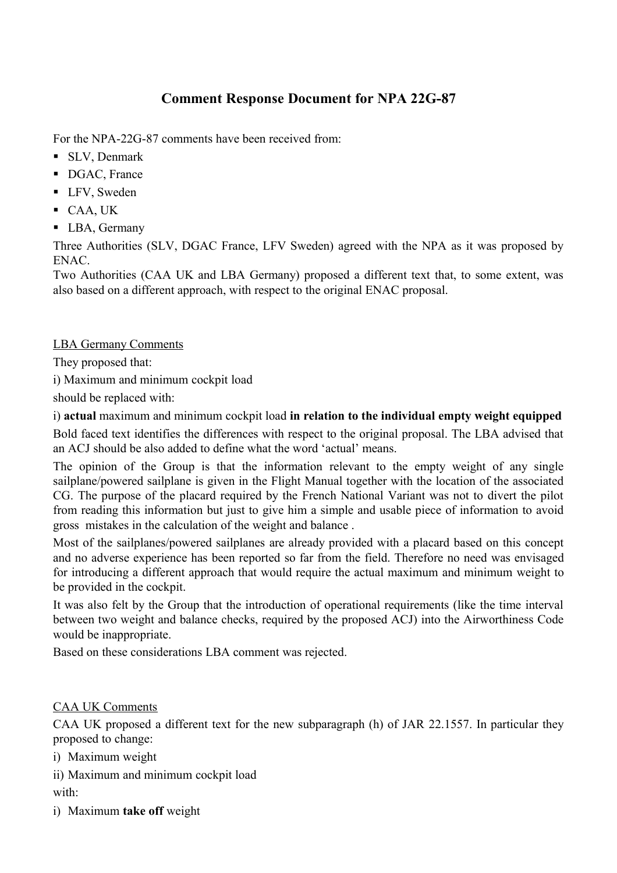## **Comment Response Document for NPA 22G-87**

For the NPA-22G-87 comments have been received from:

- SLV, Denmark
- DGAC, France
- LFV, Sweden
- CAA, UK
- LBA, Germany

Three Authorities (SLV, DGAC France, LFV Sweden) agreed with the NPA as it was proposed by ENAC.

Two Authorities (CAA UK and LBA Germany) proposed a different text that, to some extent, was also based on a different approach, with respect to the original ENAC proposal.

## LBA Germany Comments

They proposed that:

i) Maximum and minimum cockpit load

should be replaced with:

i) **actual** maximum and minimum cockpit load **in relation to the individual empty weight equipped**

Bold faced text identifies the differences with respect to the original proposal. The LBA advised that an ACJ should be also added to define what the word 'actual' means.

The opinion of the Group is that the information relevant to the empty weight of any single sailplane/powered sailplane is given in the Flight Manual together with the location of the associated CG. The purpose of the placard required by the French National Variant was not to divert the pilot from reading this information but just to give him a simple and usable piece of information to avoid gross mistakes in the calculation of the weight and balance .

Most of the sailplanes/powered sailplanes are already provided with a placard based on this concept and no adverse experience has been reported so far from the field. Therefore no need was envisaged for introducing a different approach that would require the actual maximum and minimum weight to be provided in the cockpit.

It was also felt by the Group that the introduction of operational requirements (like the time interval between two weight and balance checks, required by the proposed ACJ) into the Airworthiness Code would be inappropriate.

Based on these considerations LBA comment was rejected.

## CAA UK Comments

CAA UK proposed a different text for the new subparagraph (h) of JAR 22.1557. In particular they proposed to change:

- i) Maximum weight
- ii) Maximum and minimum cockpit load with:
- i) Maximum **take off** weight